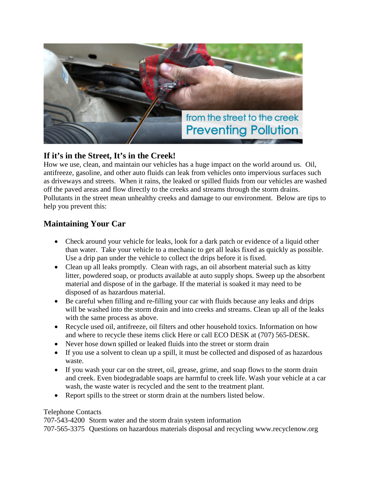

## **If it's in the Street, It's in the Creek!**

How we use, clean, and maintain our vehicles has a huge impact on the world around us. Oil, antifreeze, gasoline, and other auto fluids can leak from vehicles onto impervious surfaces such as driveways and streets. When it rains, the leaked or spilled fluids from our vehicles are washed off the paved areas and flow directly to the creeks and streams through the storm drains. Pollutants in the street mean unhealthy creeks and damage to our environment. Below are tips to help you prevent this:

## **Maintaining Your Car**

- Check around your vehicle for leaks, look for a dark patch or evidence of a liquid other than water. Take your vehicle to a mechanic to get all leaks fixed as quickly as possible. Use a drip pan under the vehicle to collect the drips before it is fixed.
- Clean up all leaks promptly. Clean with rags, an oil absorbent material such as kitty litter, powdered soap, or products available at auto supply shops. Sweep up the absorbent material and dispose of in the garbage. If the material is soaked it may need to be disposed of as hazardous material.
- Be careful when filling and re-filling your car with fluids because any leaks and drips will be washed into the storm drain and into creeks and streams. Clean up all of the leaks with the same process as above.
- Recycle used oil, antifreeze, oil filters and other household toxics. Information on how and where to recycle these items click Here or call ECO DESK at (707) 565-DESK.
- Never hose down spilled or leaked fluids into the street or storm drain
- If you use a solvent to clean up a spill, it must be collected and disposed of as hazardous waste.
- If you wash your car on the street, oil, grease, grime, and soap flows to the storm drain and creek. Even biodegradable soaps are harmful to creek life. Wash your vehicle at a car wash, the waste water is recycled and the sent to the treatment plant.
- Report spills to the street or storm drain at the numbers listed below.

## Telephone Contacts

707-543-4200 Storm water and the storm drain system information

707-565-3375 Questions on hazardous materials disposal and recycling www.recyclenow.org